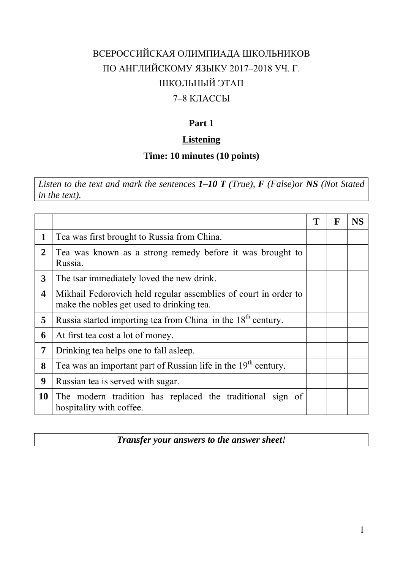# ВСЕРОССИЙСКАЯ ОЛИМПИАДА ШКОЛЬНИКОВ ПО АНГЛИЙСКОМУ ЯЗЫКУ 2017–2018 УЧ. Г. ШКОЛЬНЫЙ ЭТАП

# 7–8 КЛАССЫ

# **Part 1**

## **Listening**

## **Time: 10 minutes (10 points)**

*Listen to the text and mark the sentences 1–10 T (True), F (False)or NS (Not Stated in the text).*

|                |                                                                                                              |  | $\mathbf F$ | <b>NS</b> |
|----------------|--------------------------------------------------------------------------------------------------------------|--|-------------|-----------|
| 1              | Tea was first brought to Russia from China.                                                                  |  |             |           |
| $\overline{2}$ | Tea was known as a strong remedy before it was brought to<br>Russia.                                         |  |             |           |
| 3              | The tsar immediately loved the new drink.                                                                    |  |             |           |
| 4              | Mikhail Fedorovich held regular assemblies of court in order to<br>make the nobles get used to drinking tea. |  |             |           |
| 5              | Russia started importing tea from China in the 18 <sup>th</sup> century.                                     |  |             |           |
| 6              | At first tea cost a lot of money.                                                                            |  |             |           |
| 7              | Drinking tea helps one to fall as leep.                                                                      |  |             |           |
| 8              | Tea was an important part of Russian life in the 19 <sup>th</sup> century.                                   |  |             |           |
| 9              | Russian tea is served with sugar.                                                                            |  |             |           |
| <b>10</b>      | The modern tradition has replaced the traditional sign of<br>hospitality with coffee.                        |  |             |           |

#### *Transfer your answers to the answer sheet!*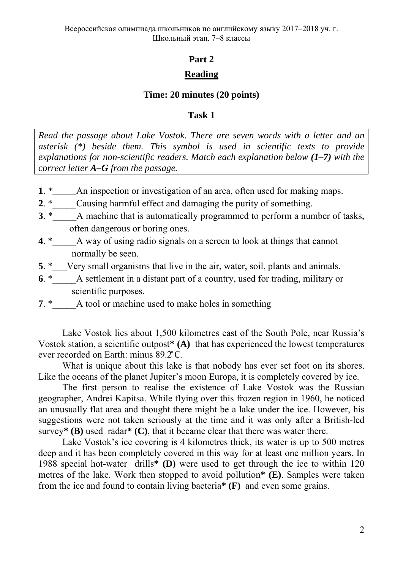#### **Part 2**

## **Reading**

#### **Time: 20 minutes (20 points)**

#### **Task 1**

*Read the passage about Lake Vostok. There are seven words with a letter and an asterisk (\*) beside them. This symbol is used in scientific texts to provide explanations for non-scientific readers. Match each explanation below (1–7) with the correct letter A–G from the passage.* 

- **1**. *\*\_\_\_\_\_*An inspection or investigation of an area, often used for making maps.
- **2**. \* Causing harmful effect and damaging the purity of something.
- **3**. \* A machine that is automatically programmed to perform a number of tasks, often dangerous or boring ones.
- **4**. \*\_\_\_\_\_A way of using radio signals on a screen to look at things that cannot normally be seen.
- **5**. \* Very small organisms that live in the air, water, soil, plants and animals.
- **6**. \*\_\_\_\_\_A settlement in a distant part of a country, used for trading, military or scientific purposes.
- **7**. \* A tool or machine used to make holes in something

Lake Vostok lies about 1,500 kilometres east of the South Pole, near Russia's Vostok station, a scientific outpost**\* (A)** that has experienced the lowest temperatures ever recorded on Earth: minus 89.2̊ C.

What is unique about this lake is that nobody has ever set foot on its shores. Like the oceans of the planet Jupiter's moon Europa, it is completely covered by ice.

The first person to realise the existence of Lake Vostok was the Russian geographer, Andrei Kapitsa. While flying over this frozen region in 1960, he noticed an unusually flat area and thought there might be a lake under the ice. However, his suggestions were not taken seriously at the time and it was only after a British-led survey**\* (B)** used radar**\* (C)**, that it became clear that there was water there.

Lake Vostok's ice covering is 4 kilometres thick, its water is up to 500 metres deep and it has been completely covered in this way for at least one million years. In 1988 special hot-water drills**\* (D)** were used to get through the ice to within 120 metres of the lake. Work then stopped to avoid pollution**\* (E)**. Samples were taken from the ice and found to contain living bacteria**\* (F)** and even some grains.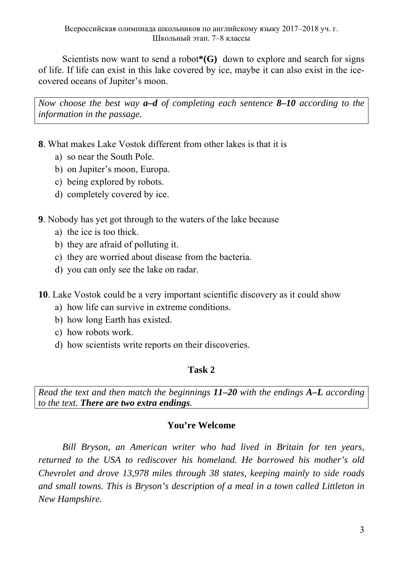Scientists now want to send a robot**\*(G)** down to explore and search for signs of life. If life can exist in this lake covered by ice, maybe it can also exist in the icecovered oceans of Jupiter's moon.

*Now choose the best way a–d of completing each sentence 8–10 according to the information in the passage.* 

- **8**. What makes Lake Vostok different from other lakes is that it is
	- a) so near the South Pole.
	- b) on Jupiter's moon, Europa.
	- c) being explored by robots.
	- d) completely covered by ice.

**9**. Nobody has yet got through to the waters of the lake because

- a) the ice is too thick.
- b) they are afraid of polluting it.
- c) they are worried about disease from the bacteria.
- d) you can only see the lake on radar.
- **10**. Lake Vostok could be a very important scientific discovery as it could show
	- a) how life can survive in extreme conditions.
	- b) how long Earth has existed.
	- c) how robots work.
	- d) how scientists write reports on their discoveries.

## **Task 2**

*Read the text and then match the beginnings 11–20 with the endings A–L according to the text. There are two extra endings.* 

## **You're Welcome**

*Bill Bryson, an American writer who had lived in Britain for ten years, returned to the USA to rediscover his homeland. He borrowed his mother's old Chevrolet and drove 13,978 miles through 38 states, keeping mainly to side roads and small towns. This is Bryson's description of a meal in a town called Littleton in New Hampshire.*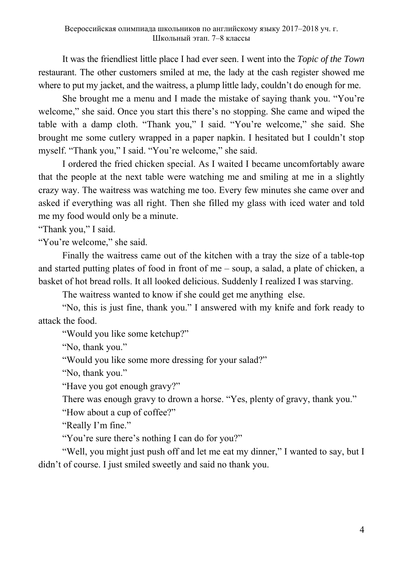It was the friendliest little place I had ever seen. I went into the *Topic of the Town* restaurant. The other customers smiled at me, the lady at the cash register showed me where to put my jacket, and the waitress, a plump little lady, couldn't do enough for me.

 She brought me a menu and I made the mistake of saying thank you. "You're welcome," she said. Once you start this there's no stopping. She came and wiped the table with a damp cloth. "Thank you," I said. "You're welcome," she said. She brought me some cutlery wrapped in a paper napkin. I hesitated but I couldn't stop myself. "Thank you," I said. "You're welcome," she said.

 I ordered the fried chicken special. As I waited I became uncomfortably aware that the people at the next table were watching me and smiling at me in a slightly crazy way. The waitress was watching me too. Every few minutes she came over and asked if everything was all right. Then she filled my glass with iced water and told me my food would only be a minute.

"Thank you," I said.

"You're welcome," she said.

 Finally the waitress came out of the kitchen with a tray the size of a table-top and started putting plates of food in front of me – soup, a salad, a plate of chicken, a basket of hot bread rolls. It all looked delicious. Suddenly I realized I was starving.

The waitress wanted to know if she could get me anything else.

 "No, this is just fine, thank you." I answered with my knife and fork ready to attack the food.

"Would you like some ketchup?"

"No, thank you."

"Would you like some more dressing for your salad?"

"No, thank you."

"Have you got enough gravy?"

 There was enough gravy to drown a horse. "Yes, plenty of gravy, thank you." "How about a cup of coffee?"

"Really I'm fine."

"You're sure there's nothing I can do for you?"

 "Well, you might just push off and let me eat my dinner," I wanted to say, but I didn't of course. I just smiled sweetly and said no thank you.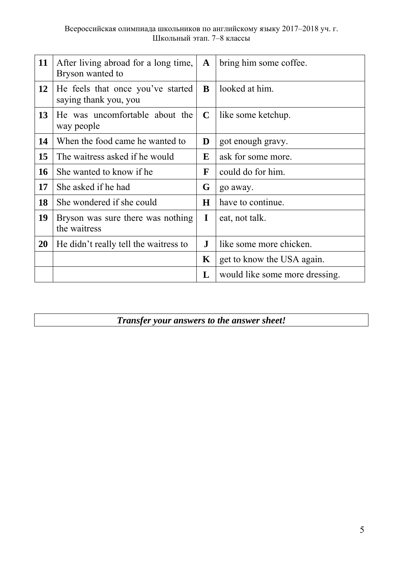| 11 | After living abroad for a long time,<br>Bryson wanted to   | $\mathbf{A}$ | bring him some coffee.         |
|----|------------------------------------------------------------|--------------|--------------------------------|
| 12 | He feels that once you've started<br>saying thank you, you | B            | looked at him.                 |
| 13 | He was uncomfortable about the<br>way people               | $\mathbf C$  | like some ketchup.             |
| 14 | When the food came he wanted to                            | D            | got enough gravy.              |
| 15 | The waitress asked if he would                             | E            | ask for some more.             |
| 16 | She wanted to know if he                                   | $\mathbf{F}$ | could do for him.              |
| 17 | She asked if he had                                        | G            | go away.                       |
| 18 | She wondered if she could                                  | H            | have to continue.              |
| 19 | Bryson was sure there was nothing<br>the waitress          | I            | eat, not talk.                 |
| 20 | He didn't really tell the waitress to                      | $\mathbf{J}$ | like some more chicken.        |
|    |                                                            | K            | get to know the USA again.     |
|    |                                                            | L            | would like some more dressing. |

*Transfer your answers to the answer sheet!*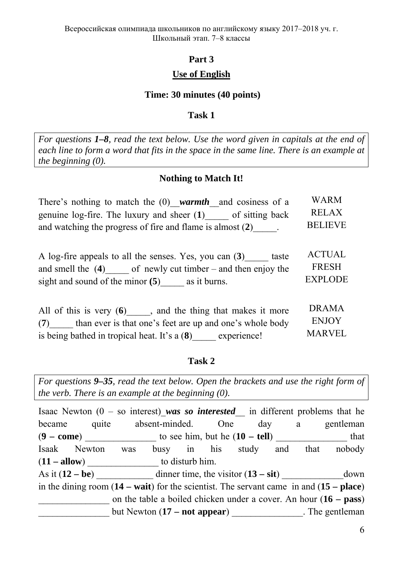## **Part 3**

#### **Use of English**

#### **Time: 30 minutes (40 points)**

#### **Task 1**

*For questions 1–8, read the text below. Use the word given in capitals at the end of each line to form a word that fits in the space in the same line. There is an example at the beginning (0).* 

#### **Nothing to Match It!**

| There's nothing to match the $(0)$ warmth and cosiness of a     | <b>WARM</b>    |
|-----------------------------------------------------------------|----------------|
| genuine $log$ -fire. The luxury and sheer $(1)$ of sitting back | RELAX          |
| and watching the progress of fire and flame is almost $(2)$ .   | <b>BELIEVE</b> |

| A log-fire appeals to all the senses. Yes, you can (3)<br>taste   | ACTUAL         |
|-------------------------------------------------------------------|----------------|
| of newly cut timber $-$ and then enjoy the<br>and smell the $(4)$ | FRESH          |
| sight and sound of the minor $(5)$<br>as it burns.                | <b>EXPLODE</b> |

| and the thing that makes it more<br>All of this is very $(6)$   | <b>DRAMA</b>  |
|-----------------------------------------------------------------|---------------|
| than ever is that one's feet are up and one's whole body<br>(7) | <b>ENJOY</b>  |
| is being bathed in tropical heat. It's a $(8)$<br>experience!   | <b>MARVEL</b> |

#### **Task 2**

*For questions 9–35, read the text below. Open the brackets and use the right form of the verb. There is an example at the beginning (0).* 

Isaac Newton  $(0 - so$  interest) was so *interested* in different problems that he became quite absent-minded. One day a gentleman  $(9 - \text{come})$  to see him, but he  $(10 - \text{tell})$  that Isaak Newton was busy in his study and that nobody  $(11 - \text{allow})$  to disturb him. As it  $(12 - be)$  dinner time, the visitor  $(13 - sit)$  down in the dining room (**14 – wait**) for the scientist. The servant came in and (**15 – place**) \_\_\_\_\_\_\_\_\_\_\_\_\_\_\_ on the table a boiled chicken under a cover. An hour (**16 – pass**) but Newton (17 – not appear) The gentleman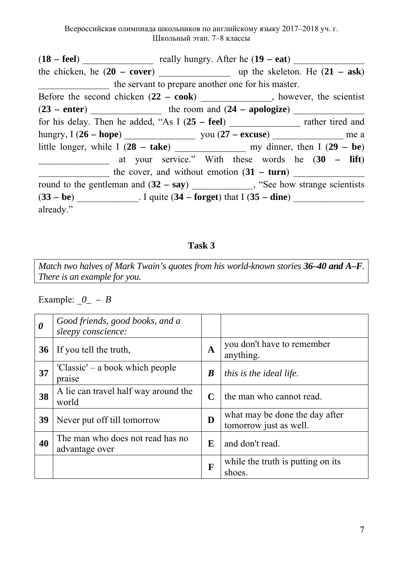Всероссийская олимпиада школьников по английскому языку 2017–2018 уч. г. Школьный этап. 7–8 классы

(**18 – feel**) \_\_\_\_\_\_\_\_\_\_\_\_\_\_\_ really hungry. After he (**19 – eat**) \_\_\_\_\_\_\_\_\_\_\_\_\_\_\_ the chicken, he (**20 – cover**) \_\_\_\_\_\_\_\_\_\_\_\_\_\_\_ up the skeleton. He (**21 – ask**) the servant to prepare another one for his master. Before the second chicken (**22 – cook**) \_\_\_\_\_\_\_\_\_\_\_\_\_\_\_, however, the scientist  $(23 - enter)$   $\qquad \qquad$  the room and  $(24 - apologiste)$ for his delay. Then he added, "As I (**25 – feel**) \_\_\_\_\_\_\_\_\_\_\_\_\_\_\_ rather tired and hungry, I (**26 – hope**) \_\_\_\_\_\_\_\_\_\_\_\_\_\_\_ you (**27 – excuse**) \_\_\_\_\_\_\_\_\_\_\_\_\_\_\_ me a little longer, while I (**28 – take**) \_\_\_\_\_\_\_\_\_\_\_\_\_\_\_ my dinner, then I (**29 – be**) \_\_\_\_\_\_\_\_\_\_\_\_\_\_\_ at your service." With these words he (**30 – lift**) the cover, and without emotion  $(31 - turn)$ round to the gentleman and  $(32 - say)$  \_\_\_\_\_\_\_\_\_, "See how strange scientists (**33 – be**) \_\_\_\_\_\_\_\_\_\_\_\_\_. I quite (**34 – forget**) that I (**35 – dine**) \_\_\_\_\_\_\_\_\_\_\_\_\_\_\_ already."

## **Task 3**

*Match two halves of Mark Twain's quotes from his world-known stories 36–40 and A–F. There is an example for you.* 

Example:  $\theta$  – *B* 

| $\boldsymbol{\theta}$ | Good friends, good books, and a<br>sleepy conscience: |              |                                                          |
|-----------------------|-------------------------------------------------------|--------------|----------------------------------------------------------|
| 36                    | If you tell the truth,                                | $\mathbf{A}$ | you don't have to remember<br>anything.                  |
| 37                    | 'Classic' – a book which people<br>praise             | $\bm{B}$     | <i>this is the ideal life.</i>                           |
| 38                    | A lie can travel half way around the<br>world         | $\mathbf C$  | the man who cannot read.                                 |
| 39                    | Never put off till tomorrow                           | D            | what may be done the day after<br>tomorrow just as well. |
| 40                    | The man who does not read has no<br>advantage over    | E            | and don't read.                                          |
|                       |                                                       | F            | while the truth is putting on its<br>shoes.              |